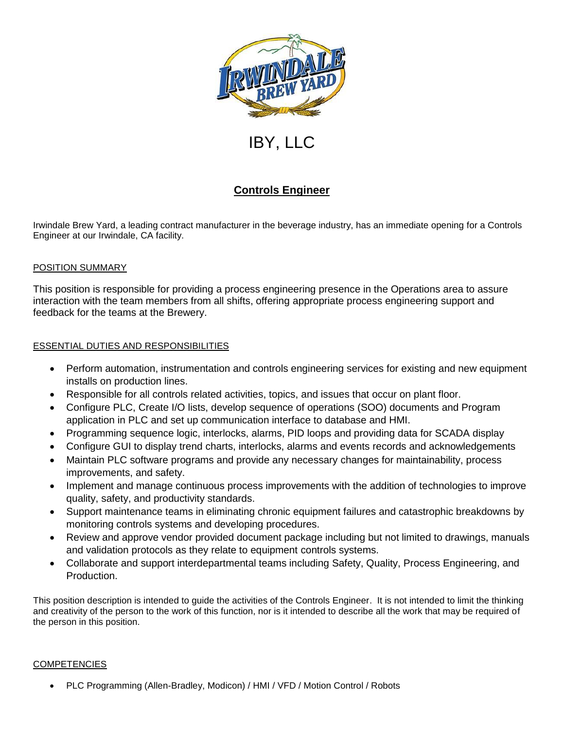

# IBY, LLC

# **Controls Engineer**

Irwindale Brew Yard, a leading contract manufacturer in the beverage industry, has an immediate opening for a Controls Engineer at our Irwindale, CA facility.

# POSITION SUMMARY

This position is responsible for providing a process engineering presence in the Operations area to assure interaction with the team members from all shifts, offering appropriate process engineering support and feedback for the teams at the Brewery.

# ESSENTIAL DUTIES AND RESPONSIBILITIES

- Perform automation, instrumentation and controls engineering services for existing and new equipment installs on production lines.
- Responsible for all controls related activities, topics, and issues that occur on plant floor.
- Configure PLC, Create I/O lists, develop sequence of operations (SOO) documents and Program application in PLC and set up communication interface to database and HMI.
- Programming sequence logic, interlocks, alarms, PID loops and providing data for SCADA display
- Configure GUI to display trend charts, interlocks, alarms and events records and acknowledgements
- Maintain PLC software programs and provide any necessary changes for maintainability, process improvements, and safety.
- Implement and manage continuous process improvements with the addition of technologies to improve quality, safety, and productivity standards.
- Support maintenance teams in eliminating chronic equipment failures and catastrophic breakdowns by monitoring controls systems and developing procedures.
- Review and approve vendor provided document package including but not limited to drawings, manuals and validation protocols as they relate to equipment controls systems.
- Collaborate and support interdepartmental teams including Safety, Quality, Process Engineering, and Production.

This position description is intended to guide the activities of the Controls Engineer. It is not intended to limit the thinking and creativity of the person to the work of this function, nor is it intended to describe all the work that may be required of the person in this position.

## **COMPETENCIES**

PLC Programming (Allen-Bradley, Modicon) / HMI / VFD / Motion Control / Robots